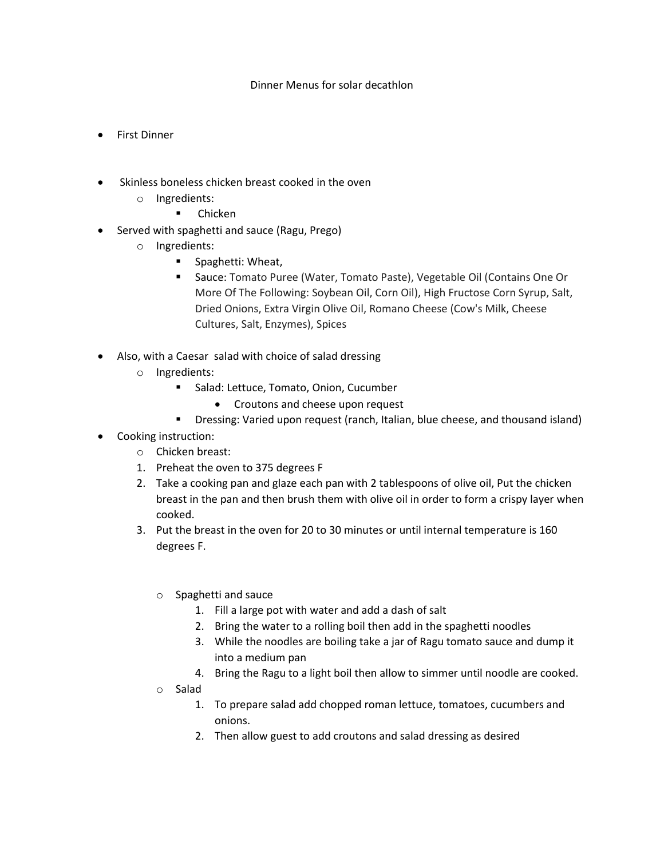## Dinner Menus for solar decathlon

- First Dinner
- Skinless boneless chicken breast cooked in the oven
	- o Ingredients:
		- **-** Chicken
- Served with spaghetti and sauce (Ragu, Prego)
	- o Ingredients:
		- **Spaghetti: Wheat,**
		- Sauce: Tomato Puree (Water, Tomato Paste), Vegetable Oil (Contains One Or More Of The Following: Soybean Oil, Corn Oil), High Fructose Corn Syrup, Salt, Dried Onions, Extra Virgin Olive Oil, Romano Cheese (Cow's Milk, Cheese Cultures, Salt, Enzymes), Spices
- Also, with a Caesar salad with choice of salad dressing
	- o Ingredients:
		- **Salad: Lettuce, Tomato, Onion, Cucumber** 
			- Croutons and cheese upon request
		- **Dressing: Varied upon request (ranch, Italian, blue cheese, and thousand island)**
- Cooking instruction:
	- o Chicken breast:
	- 1. Preheat the oven to 375 degrees F
	- 2. Take a cooking pan and glaze each pan with 2 tablespoons of olive oil, Put the chicken breast in the pan and then brush them with olive oil in order to form a crispy layer when cooked.
	- 3. Put the breast in the oven for 20 to 30 minutes or until internal temperature is 160 degrees F.
		- o Spaghetti and sauce
			- 1. Fill a large pot with water and add a dash of salt
			- 2. Bring the water to a rolling boil then add in the spaghetti noodles
			- 3. While the noodles are boiling take a jar of Ragu tomato sauce and dump it into a medium pan
			- 4. Bring the Ragu to a light boil then allow to simmer until noodle are cooked.
		- o Salad
			- 1. To prepare salad add chopped roman lettuce, tomatoes, cucumbers and onions.
			- 2. Then allow guest to add croutons and salad dressing as desired